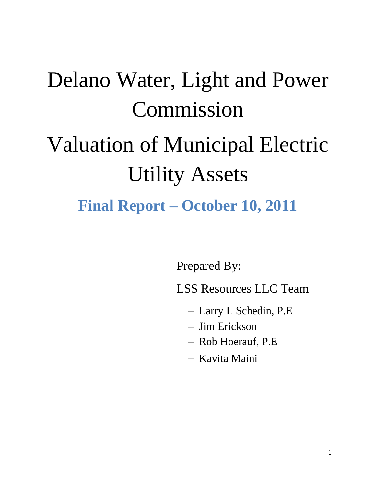# Delano Water, Light and Power Commission Valuation of Municipal Electric Utility Assets **Final Report – October 10, 2011**

Prepared By:

LSS Resources LLC Team

- Larry L Schedin, P.E
- Jim Erickson
- Rob Hoerauf, P.E
- Kavita Maini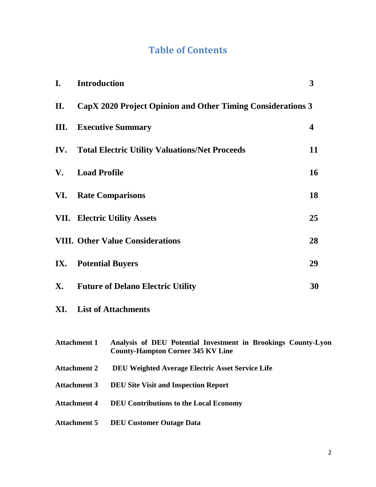## **Table of Contents**

| I. | <b>Introduction</b>                                             |                                                                                                           | 3  |  |  |  |  |  |
|----|-----------------------------------------------------------------|-----------------------------------------------------------------------------------------------------------|----|--|--|--|--|--|
| П. | CapX 2020 Project Opinion and Other Timing Considerations 3     |                                                                                                           |    |  |  |  |  |  |
|    | <b>III.</b> Executive Summary<br>4                              |                                                                                                           |    |  |  |  |  |  |
|    | <b>IV.</b> Total Electric Utility Valuations/Net Proceeds<br>11 |                                                                                                           |    |  |  |  |  |  |
| V. | <b>Load Profile</b><br><b>16</b>                                |                                                                                                           |    |  |  |  |  |  |
|    | <b>VI.</b> Rate Comparisons<br>18                               |                                                                                                           |    |  |  |  |  |  |
|    | <b>VII. Electric Utility Assets</b><br>25                       |                                                                                                           |    |  |  |  |  |  |
|    |                                                                 | <b>VIII. Other Value Considerations</b>                                                                   | 28 |  |  |  |  |  |
|    | <b>IX.</b> Potential Buyers                                     |                                                                                                           | 29 |  |  |  |  |  |
|    |                                                                 | X. Future of Delano Electric Utility                                                                      | 30 |  |  |  |  |  |
|    |                                                                 | <b>XI.</b> List of Attachments                                                                            |    |  |  |  |  |  |
|    | <b>Attachment 1</b>                                             | Analysis of DEU Potential Investment in Brookings County-Lyon<br><b>County-Hampton Corner 345 KV Line</b> |    |  |  |  |  |  |
|    | <b>Attachment 2</b>                                             | DEU Weighted Average Electric Asset Service Life                                                          |    |  |  |  |  |  |
|    | <b>Attachment 3</b>                                             | <b>DEU Site Visit and Inspection Report</b>                                                               |    |  |  |  |  |  |
|    | <b>Attachment 4</b>                                             | <b>DEU Contributions to the Local Economy</b>                                                             |    |  |  |  |  |  |
|    | <b>Attachment 5</b>                                             | <b>DEU Customer Outage Data</b>                                                                           |    |  |  |  |  |  |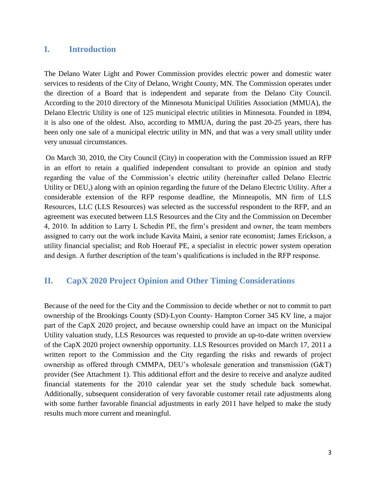#### **I. Introduction**

The Delano Water Light and Power Commission provides electric power and domestic water services to residents of the City of Delano, Wright County, MN. The Commission operates under the direction of a Board that is independent and separate from the Delano City Council. According to the 2010 directory of the Minnesota Municipal Utilities Association (MMUA), the Delano Electric Utility is one of 125 municipal electric utilities in Minnesota. Founded in 1894, it is also one of the oldest. Also, according to MMUA, during the past 20-25 years, there has been only one sale of a municipal electric utility in MN, and that was a very small utility under very unusual circumstances.

On March 30, 2010, the City Council (City) in cooperation with the Commission issued an RFP in an effort to retain a qualified independent consultant to provide an opinion and study regarding the value of the Commission's electric utility (hereinafter called Delano Electric Utility or DEU,) along with an opinion regarding the future of the Delano Electric Utility. After a considerable extension of the RFP response deadline, the Minneapolis, MN firm of LLS Resources, LLC (LLS Resources) was selected as the successful respondent to the RFP, and an agreement was executed between LLS Resources and the City and the Commission on December 4, 2010. In addition to Larry L Schedin PE, the firm's president and owner, the team members assigned to carry out the work include Kavita Maini, a senior rate economist; James Erickson, a utility financial specialist; and Rob Hoerauf PE, a specialist in electric power system operation and design. A further description of the team's qualifications is included in the RFP response.

#### **II. CapX 2020 Project Opinion and Other Timing Considerations**

Because of the need for the City and the Commission to decide whether or not to commit to part ownership of the Brookings County (SD)-Lyon County- Hampton Corner 345 KV line, a major part of the CapX 2020 project, and because ownership could have an impact on the Municipal Utility valuation study, LLS Resources was requested to provide an up-to-date written overview of the CapX 2020 project ownership opportunity. LLS Resources provided on March 17, 2011 a written report to the Commission and the City regarding the risks and rewards of project ownership as offered through CMMPA, DEU's wholesale generation and transmission (G&T) provider (See Attachment 1). This additional effort and the desire to receive and analyze audited financial statements for the 2010 calendar year set the study schedule back somewhat. Additionally, subsequent consideration of very favorable customer retail rate adjustments along with some further favorable financial adjustments in early 2011 have helped to make the study results much more current and meaningful.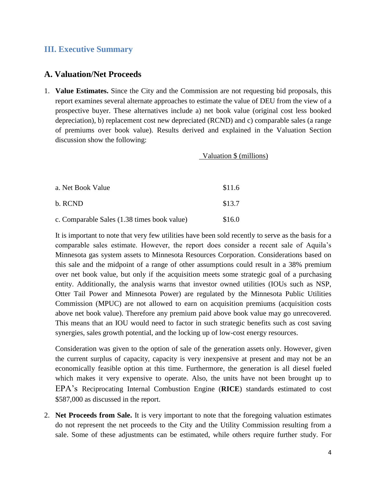#### **III. Executive Summary**

#### **A. Valuation/Net Proceeds**

1. **Value Estimates.** Since the City and the Commission are not requesting bid proposals, this report examines several alternate approaches to estimate the value of DEU from the view of a prospective buyer. These alternatives include a) net book value (original cost less booked depreciation), b) replacement cost new depreciated (RCND) and c) comparable sales (a range of premiums over book value). Results derived and explained in the Valuation Section discussion show the following:

| Valuation \$ (millions) |  |
|-------------------------|--|
|                         |  |

| a. Net Book Value                           | \$11.6 |
|---------------------------------------------|--------|
| b. RCND                                     | \$13.7 |
| c. Comparable Sales (1.38 times book value) | \$16.0 |

It is important to note that very few utilities have been sold recently to serve as the basis for a comparable sales estimate. However, the report does consider a recent sale of Aquila's Minnesota gas system assets to Minnesota Resources Corporation. Considerations based on this sale and the midpoint of a range of other assumptions could result in a 38% premium over net book value, but only if the acquisition meets some strategic goal of a purchasing entity. Additionally, the analysis warns that investor owned utilities (IOUs such as NSP, Otter Tail Power and Minnesota Power) are regulated by the Minnesota Public Utilities Commission (MPUC) are not allowed to earn on acquisition premiums (acquisition costs above net book value). Therefore any premium paid above book value may go unrecovered. This means that an IOU would need to factor in such strategic benefits such as cost saving synergies, sales growth potential, and the locking up of low-cost energy resources.

Consideration was given to the option of sale of the generation assets only. However, given the current surplus of capacity, capacity is very inexpensive at present and may not be an economically feasible option at this time. Furthermore, the generation is all diesel fueled which makes it very expensive to operate. Also, the units have not been brought up to EPA's Reciprocating Internal Combustion Engine (**RICE**) standards estimated to cost \$587,000 as discussed in the report.

2. **Net Proceeds from Sale.** It is very important to note that the foregoing valuation estimates do not represent the net proceeds to the City and the Utility Commission resulting from a sale. Some of these adjustments can be estimated, while others require further study. For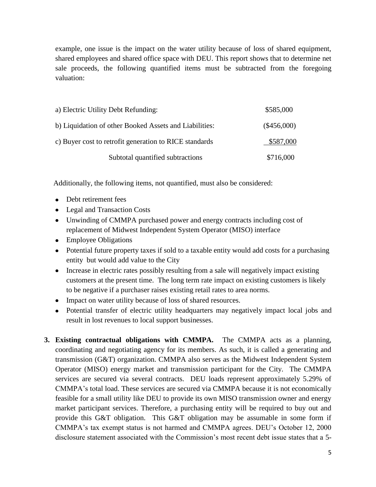example, one issue is the impact on the water utility because of loss of shared equipment, shared employees and shared office space with DEU. This report shows that to determine net sale proceeds, the following quantified items must be subtracted from the foregoing valuation:

| a) Electric Utility Debt Refunding:                    | \$585,000     |
|--------------------------------------------------------|---------------|
| b) Liquidation of other Booked Assets and Liabilities: | $(\$456,000)$ |
| c) Buyer cost to retrofit generation to RICE standards | \$587,000     |
| Subtotal quantified subtractions                       | \$716,000     |

Additionally, the following items, not quantified, must also be considered:

- Debt retirement fees
- Legal and Transaction Costs
- Unwinding of CMMPA purchased power and energy contracts including cost of replacement of Midwest Independent System Operator (MISO) interface
- Employee Obligations
- Potential future property taxes if sold to a taxable entity would add costs for a purchasing entity but would add value to the City
- Increase in electric rates possibly resulting from a sale will negatively impact existing customers at the present time. The long term rate impact on existing customers is likely to be negative if a purchaser raises existing retail rates to area norms.
- Impact on water utility because of loss of shared resources.
- Potential transfer of electric utility headquarters may negatively impact local jobs and result in lost revenues to local support businesses.
- **3. Existing contractual obligations with CMMPA.** The CMMPA acts as a planning, coordinating and negotiating agency for its members. As such, it is called a generating and transmission (G&T) organization. CMMPA also serves as the Midwest Independent System Operator (MISO) energy market and transmission participant for the City. The CMMPA services are secured via several contracts. DEU loads represent approximately 5.29% of CMMPA's total load. These services are secured via CMMPA because it is not economically feasible for a small utility like DEU to provide its own MISO transmission owner and energy market participant services. Therefore, a purchasing entity will be required to buy out and provide this G&T obligation. This G&T obligation may be assumable in some form if CMMPA's tax exempt status is not harmed and CMMPA agrees. DEU's October 12, 2000 disclosure statement associated with the Commission's most recent debt issue states that a 5-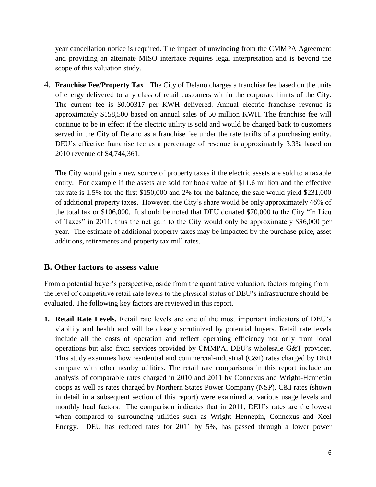year cancellation notice is required. The impact of unwinding from the CMMPA Agreement and providing an alternate MISO interface requires legal interpretation and is beyond the scope of this valuation study.

4. **Franchise Fee/Property Tax** The City of Delano charges a franchise fee based on the units of energy delivered to any class of retail customers within the corporate limits of the City. The current fee is \$0.00317 per KWH delivered. Annual electric franchise revenue is approximately \$158,500 based on annual sales of 50 million KWH. The franchise fee will continue to be in effect if the electric utility is sold and would be charged back to customers served in the City of Delano as a franchise fee under the rate tariffs of a purchasing entity. DEU's effective franchise fee as a percentage of revenue is approximately 3.3% based on 2010 revenue of \$4,744,361.

The City would gain a new source of property taxes if the electric assets are sold to a taxable entity. For example if the assets are sold for book value of \$11.6 million and the effective tax rate is 1.5% for the first \$150,000 and 2% for the balance, the sale would yield \$231,000 of additional property taxes. However, the City's share would be only approximately 46% of the total tax or \$106,000. It should be noted that DEU donated \$70,000 to the City "In Lieu of Taxes" in 2011, thus the net gain to the City would only be approximately \$36,000 per year. The estimate of additional property taxes may be impacted by the purchase price, asset additions, retirements and property tax mill rates.

#### **B. Other factors to assess value**

From a potential buyer's perspective, aside from the quantitative valuation, factors ranging from the level of competitive retail rate levels to the physical status of DEU's infrastructure should be evaluated. The following key factors are reviewed in this report.

**1. Retail Rate Levels.** Retail rate levels are one of the most important indicators of DEU's viability and health and will be closely scrutinized by potential buyers. Retail rate levels include all the costs of operation and reflect operating efficiency not only from local operations but also from services provided by CMMPA, DEU's wholesale G&T provider. This study examines how residential and commercial-industrial (C&I) rates charged by DEU compare with other nearby utilities. The retail rate comparisons in this report include an analysis of comparable rates charged in 2010 and 2011 by Connexus and Wright-Hennepin coops as well as rates charged by Northern States Power Company (NSP). C&I rates (shown in detail in a subsequent section of this report) were examined at various usage levels and monthly load factors. The comparison indicates that in 2011, DEU's rates are the lowest when compared to surrounding utilities such as Wright Hennepin, Connexus and Xcel Energy. DEU has reduced rates for 2011 by 5%, has passed through a lower power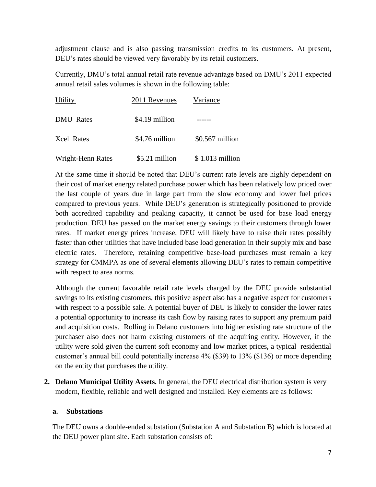adjustment clause and is also passing transmission credits to its customers. At present, DEU's rates should be viewed very favorably by its retail customers.

Currently, DMU's total annual retail rate revenue advantage based on DMU's 2011 expected annual retail sales volumes is shown in the following table:

| Utility           | 2011 Revenues  | Variance         |
|-------------------|----------------|------------------|
| <b>DMU</b> Rates  | \$4.19 million |                  |
| Xcel Rates        | \$4.76 million | $$0.567$ million |
| Wright-Henn Rates | \$5.21 million | $$1.013$ million |

At the same time it should be noted that DEU's current rate levels are highly dependent on their cost of market energy related purchase power which has been relatively low priced over the last couple of years due in large part from the slow economy and lower fuel prices compared to previous years. While DEU's generation is strategically positioned to provide both accredited capability and peaking capacity, it cannot be used for base load energy production. DEU has passed on the market energy savings to their customers through lower rates. If market energy prices increase, DEU will likely have to raise their rates possibly faster than other utilities that have included base load generation in their supply mix and base electric rates. Therefore, retaining competitive base-load purchases must remain a key strategy for CMMPA as one of several elements allowing DEU's rates to remain competitive with respect to area norms.

Although the current favorable retail rate levels charged by the DEU provide substantial savings to its existing customers, this positive aspect also has a negative aspect for customers with respect to a possible sale. A potential buyer of DEU is likely to consider the lower rates a potential opportunity to increase its cash flow by raising rates to support any premium paid and acquisition costs. Rolling in Delano customers into higher existing rate structure of the purchaser also does not harm existing customers of the acquiring entity. However, if the utility were sold given the current soft economy and low market prices, a typical residential customer's annual bill could potentially increase 4% (\$39) to 13% (\$136) or more depending on the entity that purchases the utility.

**2. Delano Municipal Utility Assets.** In general, the DEU electrical distribution system is very modern, flexible, reliable and well designed and installed. Key elements are as follows:

#### **a. Substations**

The DEU owns a double-ended substation (Substation A and Substation B) which is located at the DEU power plant site. Each substation consists of: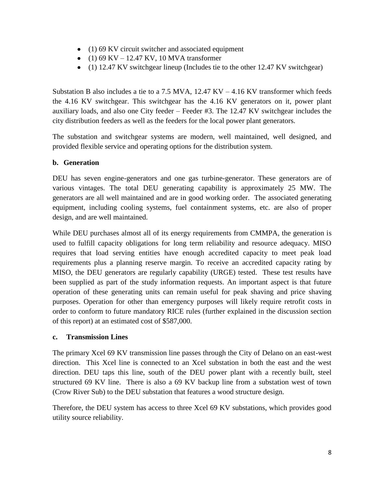- (1) 69 KV circuit switcher and associated equipment
- (1) 69 KV 12.47 KV, 10 MVA transformer
- (1) 12.47 KV switchgear lineup (Includes tie to the other 12.47 KV switchgear)

Substation B also includes a tie to a 7.5 MVA,  $12.47$  KV  $-4.16$  KV transformer which feeds the 4.16 KV switchgear. This switchgear has the 4.16 KV generators on it, power plant auxiliary loads, and also one City feeder – Feeder #3. The 12.47 KV switchgear includes the city distribution feeders as well as the feeders for the local power plant generators.

The substation and switchgear systems are modern, well maintained, well designed, and provided flexible service and operating options for the distribution system.

#### **b. Generation**

DEU has seven engine-generators and one gas turbine-generator. These generators are of various vintages. The total DEU generating capability is approximately 25 MW. The generators are all well maintained and are in good working order. The associated generating equipment, including cooling systems, fuel containment systems, etc. are also of proper design, and are well maintained.

While DEU purchases almost all of its energy requirements from CMMPA, the generation is used to fulfill capacity obligations for long term reliability and resource adequacy. MISO requires that load serving entities have enough accredited capacity to meet peak load requirements plus a planning reserve margin. To receive an accredited capacity rating by MISO, the DEU generators are regularly capability (URGE) tested. These test results have been supplied as part of the study information requests. An important aspect is that future operation of these generating units can remain useful for peak shaving and price shaving purposes. Operation for other than emergency purposes will likely require retrofit costs in order to conform to future mandatory RICE rules (further explained in the discussion section of this report) at an estimated cost of \$587,000.

#### **c. Transmission Lines**

The primary Xcel 69 KV transmission line passes through the City of Delano on an east-west direction. This Xcel line is connected to an Xcel substation in both the east and the west direction. DEU taps this line, south of the DEU power plant with a recently built, steel structured 69 KV line. There is also a 69 KV backup line from a substation west of town (Crow River Sub) to the DEU substation that features a wood structure design.

Therefore, the DEU system has access to three Xcel 69 KV substations, which provides good utility source reliability.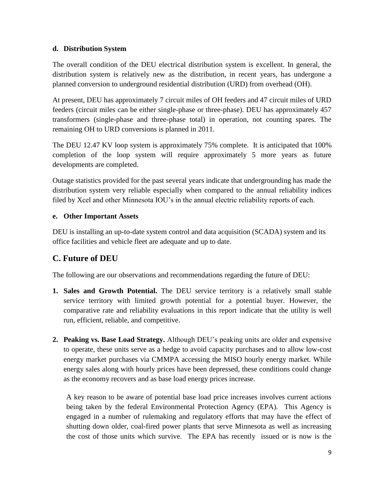#### **d. Distribution System**

The overall condition of the DEU electrical distribution system is excellent. In general, the distribution system is relatively new as the distribution, in recent years, has undergone a planned conversion to underground residential distribution (URD) from overhead (OH).

At present, DEU has approximately 7 circuit miles of OH feeders and 47 circuit miles of URD feeders (circuit miles can be either single-phase or three-phase). DEU has approximately 457 transformers (single-phase and three-phase total) in operation, not counting spares. The remaining OH to URD conversions is planned in 2011.

The DEU 12.47 KV loop system is approximately 75% complete. It is anticipated that 100% completion of the loop system will require approximately 5 more years as future developments are completed.

Outage statistics provided for the past several years indicate that undergrounding has made the distribution system very reliable especially when compared to the annual reliability indices filed by Xcel and other Minnesota IOU's in the annual electric reliability reports of each.

#### **e. Other Important Assets**

DEU is installing an up-to-date system control and data acquisition (SCADA) system and its office facilities and vehicle fleet are adequate and up to date.

## **C. Future of DEU**

The following are our observations and recommendations regarding the future of DEU:

- **1. Sales and Growth Potential.** The DEU service territory is a relatively small stable service territory with limited growth potential for a potential buyer. However, the comparative rate and reliability evaluations in this report indicate that the utility is well run, efficient, reliable, and competitive.
- **2. Peaking vs. Base Load Strategy.** Although DEU's peaking units are older and expensive to operate, these units serve as a hedge to avoid capacity purchases and to allow low-cost energy market purchases via CMMPA accessing the MISO hourly energy market. While energy sales along with hourly prices have been depressed, these conditions could change as the economy recovers and as base load energy prices increase.

A key reason to be aware of potential base load price increases involves current actions being taken by the federal Environmental Protection Agency (EPA). This Agency is engaged in a number of rulemaking and regulatory efforts that may have the effect of shutting down older, coal-fired power plants that serve Minnesota as well as increasing the cost of those units which survive. The EPA has recently issued or is now is the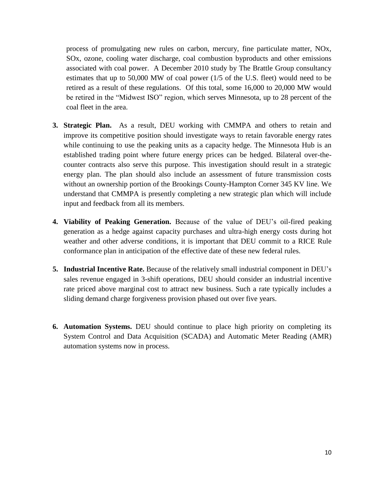process of promulgating new rules on carbon, mercury, fine particulate matter, NOx, SOx, ozone, cooling water discharge, coal combustion byproducts and other emissions associated with coal power. A December 2010 study by The Brattle Group consultancy estimates that up to 50,000 MW of coal power (1/5 of the U.S. fleet) would need to be retired as a result of these regulations. Of this total, some 16,000 to 20,000 MW would be retired in the "Midwest ISO" region, which serves Minnesota, up to 28 percent of the coal fleet in the area.

- **3. Strategic Plan.** As a result, DEU working with CMMPA and others to retain and improve its competitive position should investigate ways to retain favorable energy rates while continuing to use the peaking units as a capacity hedge. The Minnesota Hub is an established trading point where future energy prices can be hedged. Bilateral over-thecounter contracts also serve this purpose. This investigation should result in a strategic energy plan. The plan should also include an assessment of future transmission costs without an ownership portion of the Brookings County-Hampton Corner 345 KV line. We understand that CMMPA is presently completing a new strategic plan which will include input and feedback from all its members.
- **4. Viability of Peaking Generation.** Because of the value of DEU's oil-fired peaking generation as a hedge against capacity purchases and ultra-high energy costs during hot weather and other adverse conditions, it is important that DEU commit to a RICE Rule conformance plan in anticipation of the effective date of these new federal rules.
- **5. Industrial Incentive Rate.** Because of the relatively small industrial component in DEU's sales revenue engaged in 3-shift operations, DEU should consider an industrial incentive rate priced above marginal cost to attract new business. Such a rate typically includes a sliding demand charge forgiveness provision phased out over five years.
- **6. Automation Systems.** DEU should continue to place high priority on completing its System Control and Data Acquisition (SCADA) and Automatic Meter Reading (AMR) automation systems now in process.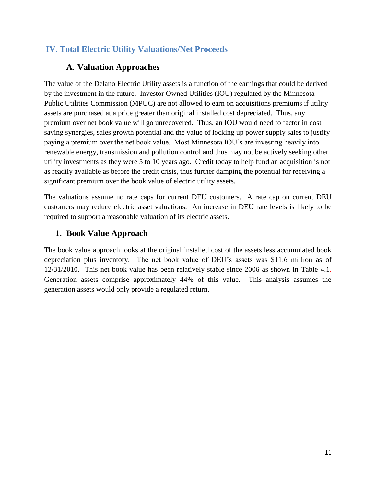## **IV. Total Electric Utility Valuations/Net Proceeds**

### **A. Valuation Approaches**

The value of the Delano Electric Utility assets is a function of the earnings that could be derived by the investment in the future. Investor Owned Utilities (IOU) regulated by the Minnesota Public Utilities Commission (MPUC) are not allowed to earn on acquisitions premiums if utility assets are purchased at a price greater than original installed cost depreciated. Thus, any premium over net book value will go unrecovered. Thus, an IOU would need to factor in cost saving synergies, sales growth potential and the value of locking up power supply sales to justify paying a premium over the net book value. Most Minnesota IOU's are investing heavily into renewable energy, transmission and pollution control and thus may not be actively seeking other utility investments as they were 5 to 10 years ago. Credit today to help fund an acquisition is not as readily available as before the credit crisis, thus further damping the potential for receiving a significant premium over the book value of electric utility assets.

The valuations assume no rate caps for current DEU customers. A rate cap on current DEU customers may reduce electric asset valuations. An increase in DEU rate levels is likely to be required to support a reasonable valuation of its electric assets.

## **1. Book Value Approach**

The book value approach looks at the original installed cost of the assets less accumulated book depreciation plus inventory. The net book value of DEU's assets was \$11.6 million as of 12/31/2010. This net book value has been relatively stable since 2006 as shown in Table 4.1. Generation assets comprise approximately 44% of this value. This analysis assumes the generation assets would only provide a regulated return.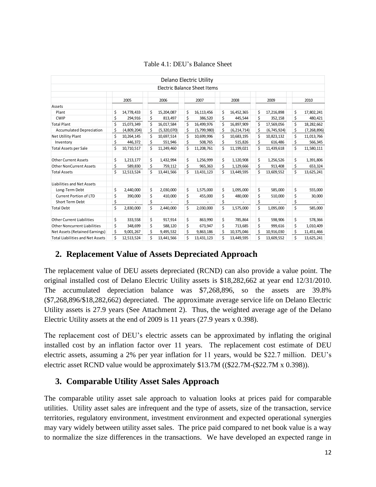|                                         |    |             |    |             |    | Delano Electric Utility       |    |               |                   |    |               |
|-----------------------------------------|----|-------------|----|-------------|----|-------------------------------|----|---------------|-------------------|----|---------------|
|                                         |    |             |    |             |    | Electric Balance Sheet I tems |    |               |                   |    |               |
|                                         |    |             |    |             |    |                               |    |               |                   |    |               |
|                                         |    | 2005        |    | 2006        |    | 2007                          |    | 2008          | 2009              |    | 2010          |
| Assets                                  |    |             |    |             |    |                               |    |               |                   |    |               |
| Plant                                   | \$ | 14,778,433  | \$ | 15,204,087  | \$ | 16,113,456                    | \$ | 16,452,365    | \$<br>17,216,898  | \$ | 17,802,241    |
| <b>CWIP</b>                             | \$ | 294,916     | \$ | 813,497     | \$ | 386,520                       | \$ | 445,544       | \$<br>352,158     | \$ | 480,421       |
| <b>Total Plant</b>                      | \$ | 15,073,349  | \$ | 16,017,584  | \$ | 16,499,976                    | \$ | 16,897,909    | \$<br>17,569,056  | \$ | 18,282,662    |
| <b>Accumulated Depreciation</b>         | \$ | (4,809,204) | \$ | (5,320,070) | \$ | (5,799,980)                   | \$ | (6, 214, 714) | \$<br>(6,745,924) | \$ | (7, 268, 896) |
| Net Utillity Plant                      | \$ | 10,264,145  | \$ | 10,697,514  | \$ | 10,699,996                    | \$ | 10,683,195    | \$<br>10,823,132  | \$ | 11,013,766    |
| Inventory                               | \$ | 446,372     | \$ | 551,946     | \$ | 508,765                       | \$ | 515,826       | \$<br>616,486     | \$ | 566,345       |
| <b>Total Assets per Sale</b>            | \$ | 10,710,517  | Ś  | 11,249,460  | Ś  | 11,208,761                    | \$ | 11,199,021    | \$<br>11,439,618  | \$ | 11,580,111    |
| <b>Other Current Assets</b>             | \$ | 1,213,177   | \$ | 1,432,994   | \$ | 1,256,999                     | \$ | 1,120,908     | \$<br>1,256,526   | \$ | 1,391,806     |
| <b>Other NonCurrent Assets</b>          | \$ | 589,830     | \$ | 759,112     | \$ | 965,363                       | \$ | 1,129,666     | \$<br>913,408     | \$ | 653,324       |
| <b>Total Assets</b>                     | \$ | 12,513,524  | Ś  | 13,441,566  | Ś  | 13,431,123                    | \$ | 13,449,595    | \$<br>13,609,552  | \$ | 13,625,241    |
| Liabilities and Net Assets              |    |             |    |             |    |                               |    |               |                   |    |               |
| Long-Term Debt                          | \$ | 2,440,000   | \$ | 2,030,000   | \$ | 1,575,000                     | \$ | 1,095,000     | \$<br>585,000     | \$ | 555,000       |
| <b>Current Portion of LTD</b>           | \$ | 390,000     | \$ | 410,000     | \$ | 455,000                       | \$ | 480,000       | \$<br>510,000     | \$ | 30,000        |
| Short Term Debt                         | \$ |             | \$ |             | \$ |                               | \$ |               | \$                | \$ |               |
| <b>Total Debt</b>                       | \$ | 2,830,000   | \$ | 2,440,000   | \$ | 2,030,000                     | \$ | 1,575,000     | \$<br>1,095,000   | \$ | 585,000       |
| Other Current Liabilities               | \$ | 333,558     | \$ | 917,914     | \$ | 863,990                       | \$ | 785,864       | \$<br>598,906     | \$ | 578,366       |
| <b>Other Noncurrent Liabilities</b>     | \$ | 348,699     | \$ | 588,120     | \$ | 673,947                       | \$ | 713,685       | \$<br>999,616     | \$ | 1,010,409     |
| Net Assets (Retained Earnings)          | \$ | 9,001,267   |    | 9,495,532   |    | 9,863,186                     | \$ | 10,375,046    | \$<br>10,916,030  | \$ | 11,451,466    |
| <b>Total Liabilities and Net Assets</b> | Ś  | 12,513,524  | \$ | 13,441,566  | \$ | 13,431,123                    | \$ | 13,449,595    | \$<br>13,609,552  | \$ | 13,625,241    |

#### Table 4.1: DEU's Balance Sheet

### **2. Replacement Value of Assets Depreciated Approach**

The replacement value of DEU assets depreciated (RCND) can also provide a value point. The original installed cost of Delano Electric Utility assets is \$18,282,662 at year end 12/31/2010. The accumulated depreciation balance was \$7,268,896, so the assets are 39.8% (\$7,268,896/\$18,282,662) depreciated. The approximate average service life on Delano Electric Utility assets is 27.9 years (See Attachment 2). Thus, the weighted average age of the Delano Electric Utility assets at the end of 2009 is 11 years (27.9 years x 0.398).

The replacement cost of DEU's electric assets can be approximated by inflating the original installed cost by an inflation factor over 11 years. The replacement cost estimate of DEU electric assets, assuming a 2% per year inflation for 11 years, would be \$22.7 million. DEU's electric asset RCND value would be approximately \$13.7M ((\$22.7M-(\$22.7M x 0.398)).

### **3. Comparable Utility Asset Sales Approach**

The comparable utility asset sale approach to valuation looks at prices paid for comparable utilities. Utility asset sales are infrequent and the type of assets, size of the transaction, service territories, regulatory environment, investment environment and expected operational synergies may vary widely between utility asset sales. The price paid compared to net book value is a way to normalize the size differences in the transactions. We have developed an expected range in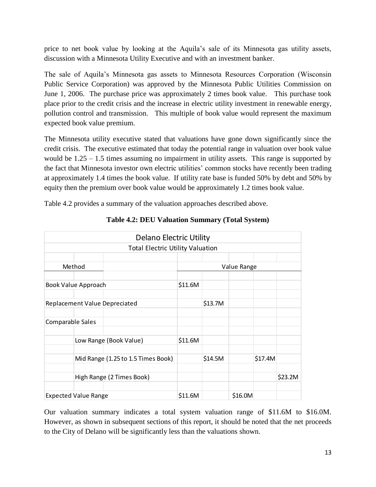price to net book value by looking at the Aquila's sale of its Minnesota gas utility assets, discussion with a Minnesota Utility Executive and with an investment banker.

The sale of Aquila's Minnesota gas assets to Minnesota Resources Corporation (Wisconsin Public Service Corporation) was approved by the Minnesota Public Utilities Commission on June 1, 2006. The purchase price was approximately 2 times book value. This purchase took place prior to the credit crisis and the increase in electric utility investment in renewable energy, pollution control and transmission. This multiple of book value would represent the maximum expected book value premium.

The Minnesota utility executive stated that valuations have gone down significantly since the credit crisis. The executive estimated that today the potential range in valuation over book value would be  $1.25 - 1.5$  times assuming no impairment in utility assets. This range is supported by the fact that Minnesota investor own electric utilities' common stocks have recently been trading at approximately 1.4 times the book value. If utility rate base is funded 50% by debt and 50% by equity then the premium over book value would be approximately 1.2 times book value.

Table 4.2 provides a summary of the valuation approaches described above.

|                         | <b>Delano Electric Utility</b>          |         |         |             |         |         |
|-------------------------|-----------------------------------------|---------|---------|-------------|---------|---------|
|                         | <b>Total Electric Utility Valuation</b> |         |         |             |         |         |
|                         |                                         |         |         |             |         |         |
|                         | Method                                  |         |         | Value Range |         |         |
|                         |                                         |         |         |             |         |         |
|                         | Book Value Approach                     | \$11.6M |         |             |         |         |
|                         | <b>Replacement Value Depreciated</b>    |         | \$13.7M |             |         |         |
| <b>Comparable Sales</b> |                                         |         |         |             |         |         |
|                         | Low Range (Book Value)                  | \$11.6M |         |             |         |         |
|                         | Mid Range (1.25 to 1.5 Times Book)      |         | \$14.5M |             | \$17.4M |         |
|                         | High Range (2 Times Book)               |         |         |             |         | \$23.2M |
|                         | <b>Expected Value Range</b>             | \$11.6M |         | \$16.0M     |         |         |

**Table 4.2: DEU Valuation Summary (Total System)**

Our valuation summary indicates a total system valuation range of \$11.6M to \$16.0M. However, as shown in subsequent sections of this report, it should be noted that the net proceeds to the City of Delano will be significantly less than the valuations shown.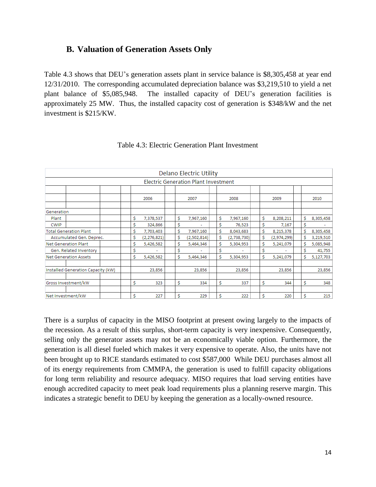#### **B. Valuation of Generation Assets Only**

Table 4.3 shows that DEU's generation assets plant in service balance is \$8,305,458 at year end 12/31/2010. The corresponding accumulated depreciation balance was \$3,219,510 to yield a net plant balance of \$5,085,948. The installed capacity of DEU's generation facilities is approximately 25 MW. Thus, the installed capacity cost of generation is \$348/kW and the net investment is \$215/KW.

|                                    |    |               |    | <b>Delano Electric Utility</b>              |   |             |    |             |    |           |
|------------------------------------|----|---------------|----|---------------------------------------------|---|-------------|----|-------------|----|-----------|
|                                    |    |               |    | <b>Electric Generation Plant Investment</b> |   |             |    |             |    |           |
|                                    |    |               |    |                                             |   |             |    |             |    |           |
|                                    |    | 2006          |    | 2007                                        |   | 2008        |    | 2009        |    | 2010      |
| Generation                         |    |               |    |                                             |   |             |    |             |    |           |
| Plant                              | \$ | 7,378,537     | \$ | 7,967,160                                   | Ś | 7,967,160   | Ś  | 8,208,211   | Ś  | 8,305,458 |
| <b>CWIP</b>                        | \$ | 324,866       | \$ |                                             | Ś | 76,523      | Ś  | 7,167       | \$ |           |
| <b>Total Generation Plant</b>      | Ŝ  | 7,703,403     | \$ | 7,967,160                                   | Ŝ | 8,043,683   | Ś  | 8,215,378   | Ś  | 8,305,458 |
| Accumulated Gen. Deprec.           | \$ | (2, 276, 821) | \$ | (2,502,814)                                 | Ŝ | (2,738,730) | Ś  | (2,974,299) | Ś  | 3,219,510 |
| <b>Net Generation Plant</b>        | Ś  | 5,426,582     | Ś  | 5,464,346                                   | Ś | 5,304,953   | \$ | 5,241,079   | Ś  | 5,085,948 |
| Gen. Related Inventory             | \$ |               | Ś  |                                             | Ŝ |             | Ś  |             | \$ | 41,755    |
| <b>Net Generation Assets</b>       | Ś  | 5,426,582     | \$ | 5,464,346                                   | Ś | 5,304,953   | Ś  | 5,241,079   | Ś  | 5,127,703 |
| Installed Generation Capacity (kW) |    | 23,856        |    | 23,856                                      |   | 23,856      |    | 23,856      |    | 23,856    |
| Gross Investment/kW                | \$ | 323           | \$ | 334                                         | Ŝ | 337         | \$ | 344         | \$ | 348       |
| Net Investment/kW                  | Ś  | 227           | Ś  | 229                                         | Ś | 222         | Ś  | 220         | Ś  | 215       |

#### Table 4.3: Electric Generation Plant Investment

There is a surplus of capacity in the MISO footprint at present owing largely to the impacts of the recession. As a result of this surplus, short-term capacity is very inexpensive. Consequently, selling only the generator assets may not be an economically viable option. Furthermore, the generation is all diesel fueled which makes it very expensive to operate. Also, the units have not been brought up to RICE standards estimated to cost \$587,000 While DEU purchases almost all of its energy requirements from CMMPA, the generation is used to fulfill capacity obligations for long term reliability and resource adequacy. MISO requires that load serving entities have enough accredited capacity to meet peak load requirements plus a planning reserve margin. This indicates a strategic benefit to DEU by keeping the generation as a locally-owned resource.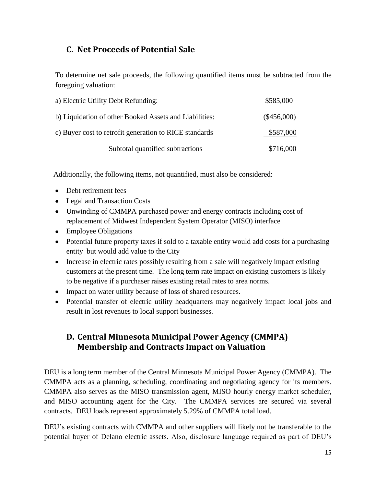## **C. Net Proceeds of Potential Sale**

To determine net sale proceeds, the following quantified items must be subtracted from the foregoing valuation:

| a) Electric Utility Debt Refunding:                    | \$585,000     |
|--------------------------------------------------------|---------------|
| b) Liquidation of other Booked Assets and Liabilities: | $(\$456,000)$ |
| c) Buyer cost to retrofit generation to RICE standards | \$587,000     |
| Subtotal quantified subtractions                       | \$716,000     |

Additionally, the following items, not quantified, must also be considered:

- Debt retirement fees
- Legal and Transaction Costs
- Unwinding of CMMPA purchased power and energy contracts including cost of replacement of Midwest Independent System Operator (MISO) interface
- Employee Obligations
- Potential future property taxes if sold to a taxable entity would add costs for a purchasing entity but would add value to the City
- Increase in electric rates possibly resulting from a sale will negatively impact existing customers at the present time. The long term rate impact on existing customers is likely to be negative if a purchaser raises existing retail rates to area norms.
- Impact on water utility because of loss of shared resources.
- Potential transfer of electric utility headquarters may negatively impact local jobs and result in lost revenues to local support businesses.

## **D. Central Minnesota Municipal Power Agency (CMMPA) Membership and Contracts Impact on Valuation**

DEU is a long term member of the Central Minnesota Municipal Power Agency (CMMPA). The CMMPA acts as a planning, scheduling, coordinating and negotiating agency for its members. CMMPA also serves as the MISO transmission agent, MISO hourly energy market scheduler, and MISO accounting agent for the City. The CMMPA services are secured via several contracts. DEU loads represent approximately 5.29% of CMMPA total load.

DEU's existing contracts with CMMPA and other suppliers will likely not be transferable to the potential buyer of Delano electric assets. Also, disclosure language required as part of DEU's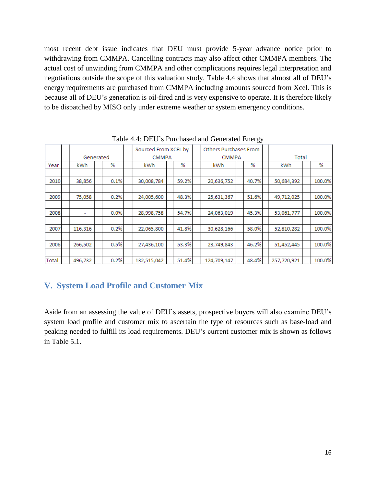most recent debt issue indicates that DEU must provide 5-year advance notice prior to withdrawing from CMMPA. Cancelling contracts may also affect other CMMPA members. The actual cost of unwinding from CMMPA and other complications requires legal interpretation and negotiations outside the scope of this valuation study. Table 4.4 shows that almost all of DEU's energy requirements are purchased from CMMPA including amounts sourced from Xcel. This is because all of DEU's generation is oil-fired and is very expensive to operate. It is therefore likely to be dispatched by MISO only under extreme weather or system emergency conditions.

|       | Generated |      | Sourced From XCEL by<br><b>CMMPA</b> |  | Others Purchases From<br><b>CMMPA</b> |             |  | Total |             |  |        |
|-------|-----------|------|--------------------------------------|--|---------------------------------------|-------------|--|-------|-------------|--|--------|
| Year  | kWh.      | %    | kWh.                                 |  | ℅                                     | kWh         |  | %     | kWh         |  | %      |
|       |           |      |                                      |  |                                       |             |  |       |             |  |        |
| 2010  | 38,856    | 0.1% | 30,008,784                           |  | 59.2%                                 | 20,636,752  |  | 40.7% | 50,684,392  |  | 100.0% |
|       |           |      |                                      |  |                                       |             |  |       |             |  |        |
| 2009  | 75,058    | 0.2% | 24,005,600                           |  | 48.3%                                 | 25,631,367  |  | 51.6% | 49,712,025  |  | 100.0% |
|       |           |      |                                      |  |                                       |             |  |       |             |  |        |
| 2008  | ۰         | 0.0% | 28,998,758                           |  | 54.7%                                 | 24,063,019  |  | 45.3% | 53,061,777  |  | 100.0% |
|       |           |      |                                      |  |                                       |             |  |       |             |  |        |
| 2007  | 116,316   | 0.2% | 22,065,800                           |  | 41.8%                                 | 30,628,166  |  | 58.0% | 52,810,282  |  | 100.0% |
|       |           |      |                                      |  |                                       |             |  |       |             |  |        |
| 2006  | 266,502   | 0.5% | 27,436,100                           |  | 53.3%                                 | 23,749,843  |  | 46.2% | 51,452,445  |  | 100.0% |
|       |           |      |                                      |  |                                       |             |  |       |             |  |        |
| Total | 496,732   | 0.2% | 132,515,042                          |  | 51.4%                                 | 124,709,147 |  | 48.4% | 257,720,921 |  | 100.0% |

Table 4.4: DEU's Purchased and Generated Energy

## **V. System Load Profile and Customer Mix**

Aside from an assessing the value of DEU's assets, prospective buyers will also examine DEU's system load profile and customer mix to ascertain the type of resources such as base-load and peaking needed to fulfill its load requirements. DEU's current customer mix is shown as follows in Table 5.1.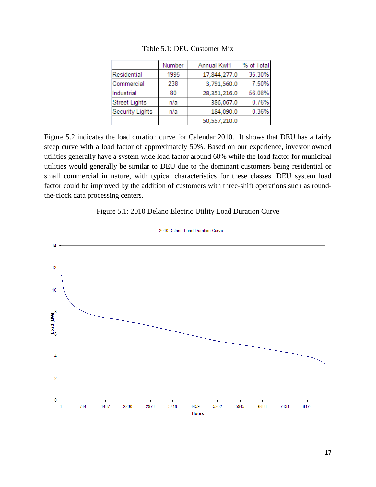|                      | Number | Annual KwH   | % of Total |
|----------------------|--------|--------------|------------|
| Residential          | 1995   | 17,844,277.0 | 35.30%     |
| Commercial           | 238    | 3,791,560.0  | 7.50%      |
| Industrial           | 80     | 28,351,216.0 | 56.08%     |
| <b>Street Lights</b> | n/a    | 386,067.0    | 0.76%      |
| Security Lights      | n/a    | 184,090.0    | 0.36%      |
|                      |        | 50,557,210.0 |            |

Table 5.1: DEU Customer Mix

Figure 5.2 indicates the load duration curve for Calendar 2010. It shows that DEU has a fairly steep curve with a load factor of approximately 50%. Based on our experience, investor owned utilities generally have a system wide load factor around 60% while the load factor for municipal utilities would generally be similar to DEU due to the dominant customers being residential or small commercial in nature, with typical characteristics for these classes. DEU system load factor could be improved by the addition of customers with three-shift operations such as roundthe-clock data processing centers.

#### Figure 5.1: 2010 Delano Electric Utility Load Duration Curve



2010 Delano Load Duration Curve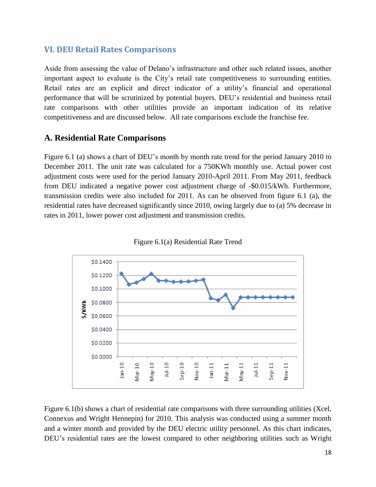#### **VI. DEU Retail Rates Comparisons**

Aside from assessing the value of Delano's infrastructure and other such related issues, another important aspect to evaluate is the City's retail rate competitiveness to surrounding entities. Retail rates are an explicit and direct indicator of a utility's financial and operational performance that will be scrutinized by potential buyers. DEU's residential and business retail rate comparisons with other utilities provide an important indication of its relative competitiveness and are discussed below. All rate comparisons exclude the franchise fee.

#### **A. Residential Rate Comparisons**

Figure 6.1 (a) shows a chart of DEU's month by month rate trend for the period January 2010 to December 2011. The unit rate was calculated for a 750KWh monthly use. Actual power cost adjustment costs were used for the period January 2010-April 2011. From May 2011, feedback from DEU indicated a negative power cost adjustment charge of -\$0.015/kWh. Furthermore, transmission credits were also included for 2011. As can be observed from figure 6.1 (a), the residential rates have decreased significantly since 2010, owing largely due to (a) 5% decrease in rates in 2011, lower power cost adjustment and transmission credits.





Figure 6.1(b) shows a chart of residential rate comparisons with three surrounding utilities (Xcel, Connexus and Wright Hennepin) for 2010. This analysis was conducted using a summer month and a winter month and provided by the DEU electric utility personnel. As this chart indicates, DEU's residential rates are the lowest compared to other neighboring utilities such as Wright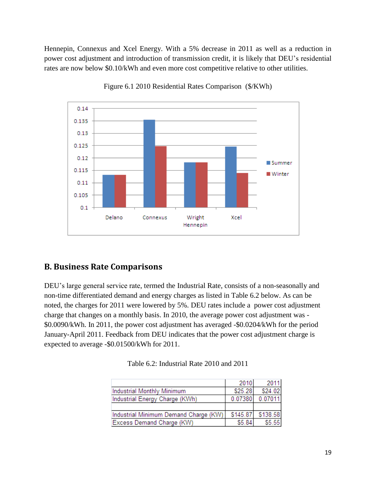Hennepin, Connexus and Xcel Energy. With a 5% decrease in 2011 as well as a reduction in power cost adjustment and introduction of transmission credit, it is likely that DEU's residential rates are now below \$0.10/kWh and even more cost competitive relative to other utilities.



Figure 6.1 2010 Residential Rates Comparison (\$/KWh)

## **B. Business Rate Comparisons**

DEU's large general service rate, termed the Industrial Rate, consists of a non-seasonally and non-time differentiated demand and energy charges as listed in Table 6.2 below. As can be noted, the charges for 2011 were lowered by 5%. DEU rates include a power cost adjustment charge that changes on a monthly basis. In 2010, the average power cost adjustment was - \$0.0090/kWh. In 2011, the power cost adjustment has averaged -\$0.0204/kWh for the period January-April 2011. Feedback from DEU indicates that the power cost adjustment charge is expected to average -\$0.01500/kWh for 2011.

|                                       | 2010     | 2011     |
|---------------------------------------|----------|----------|
| Industrial Monthly Minimum            | \$25.28  | \$24.02  |
| Industrial Energy Charge (KWh)        | 0.07380  | 0.07011  |
|                                       |          |          |
| Industrial Minimum Demand Charge (KW) | \$145.87 | \$138.58 |
| Excess Demand Charge (KW)             | \$5.84   | \$5.55   |

Table 6.2: Industrial Rate 2010 and 2011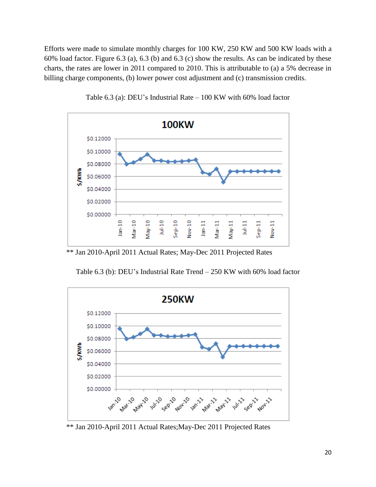Efforts were made to simulate monthly charges for 100 KW, 250 KW and 500 KW loads with a 60% load factor. Figure 6.3 (a), 6.3 (b) and 6.3 (c) show the results. As can be indicated by these charts, the rates are lower in 2011 compared to 2010. This is attributable to (a) a 5% decrease in billing charge components, (b) lower power cost adjustment and (c) transmission credits.



Table 6.3 (a): DEU's Industrial Rate – 100 KW with 60% load factor

\*\* Jan 2010-April 2011 Actual Rates; May-Dec 2011 Projected Rates



Table 6.3 (b): DEU's Industrial Rate Trend – 250 KW with 60% load factor

<sup>\*\*</sup> Jan 2010-April 2011 Actual Rates;May-Dec 2011 Projected Rates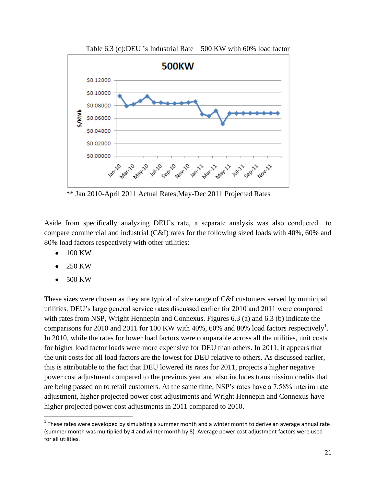

Table 6.3 (c):DEU 's Industrial Rate – 500 KW with 60% load factor

\*\* Jan 2010-April 2011 Actual Rates;May-Dec 2011 Projected Rates

Aside from specifically analyzing DEU's rate, a separate analysis was also conducted to compare commercial and industrial (C&I) rates for the following sized loads with 40%, 60% and 80% load factors respectively with other utilities:

- 100 KW
- 250 KW
- 500 KW

 $\overline{\phantom{a}}$ 

These sizes were chosen as they are typical of size range of C&I customers served by municipal utilities. DEU's large general service rates discussed earlier for 2010 and 2011 were compared with rates from NSP, Wright Hennepin and Connexus. Figures 6.3 (a) and 6.3 (b) indicate the comparisons for 2010 and 2011 for 100 KW with 40%, 60% and 80% load factors respectively<sup>1</sup>. In 2010, while the rates for lower load factors were comparable across all the utilities, unit costs for higher load factor loads were more expensive for DEU than others. In 2011, it appears that the unit costs for all load factors are the lowest for DEU relative to others. As discussed earlier, this is attributable to the fact that DEU lowered its rates for 2011, projects a higher negative power cost adjustment compared to the previous year and also includes transmission credits that are being passed on to retail customers. At the same time, NSP's rates have a 7.58% interim rate adjustment, higher projected power cost adjustments and Wright Hennepin and Connexus have higher projected power cost adjustments in 2011 compared to 2010.

<sup>&</sup>lt;sup>1</sup> These rates were developed by simulating a summer month and a winter month to derive an average annual rate (summer month was multiplied by 4 and winter month by 8). Average power cost adjustment factors were used for all utilities.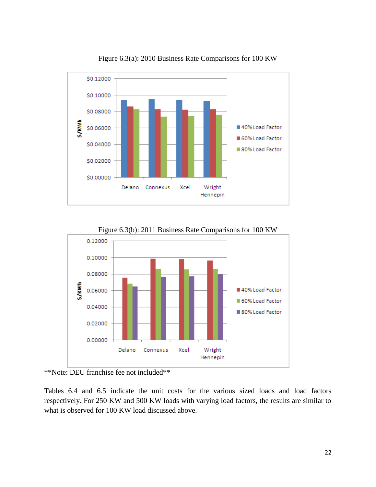

Figure 6.3(a): 2010 Business Rate Comparisons for 100 KW



Figure 6.3(b): 2011 Business Rate Comparisons for 100 KW

Tables 6.4 and 6.5 indicate the unit costs for the various sized loads and load factors respectively. For 250 KW and 500 KW loads with varying load factors, the results are similar to what is observed for 100 KW load discussed above.

<sup>\*\*</sup>Note: DEU franchise fee not included\*\*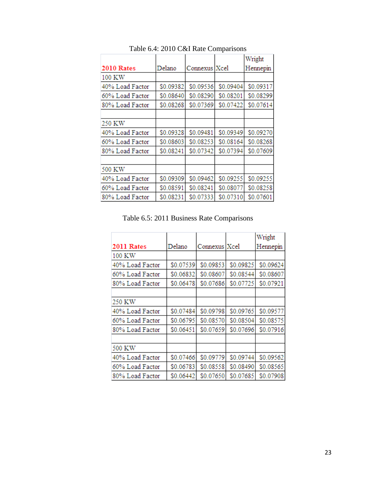|                 |           |                 |           | Wright    |
|-----------------|-----------|-----------------|-----------|-----------|
| 2010 Rates      | Delano    | Connexus   Xcel |           | Hennepin  |
| 100 KW          |           |                 |           |           |
| 40% Load Factor | \$0.09382 | \$0.09536       | \$0.09404 | \$0.09317 |
| 60% Load Factor | \$0.08640 | \$0.08290       | \$0.08201 | \$0.08299 |
| 80% Load Factor | \$0.08268 | \$0.07369       | \$0.07422 | \$0.07614 |
|                 |           |                 |           |           |
| 250 KW          |           |                 |           |           |
| 40% Load Factor | \$0.09328 | \$0.09481       | \$0.09349 | \$0.09270 |
| 60% Load Factor | \$0.08603 | \$0.08253       | \$0.08164 | \$0.08268 |
| 80% Load Factor | \$0.08241 | \$0.07342       | \$0.07394 | \$0.07609 |
|                 |           |                 |           |           |
| 500 KW          |           |                 |           |           |
| 40% Load Factor | \$0.09309 | \$0.09462       | \$0.09255 | \$0.09255 |
| 60% Load Factor | \$0.08591 | \$0.08241       | \$0.08077 | \$0.08258 |
| 80% Load Factor | \$0.08231 | \$0.07333       | \$0.07310 | \$0.07601 |

Table 6.4: 2010 C&I Rate Comparisons

Table 6.5: 2011 Business Rate Comparisons

|                 |           |                 |           | Wright    |
|-----------------|-----------|-----------------|-----------|-----------|
| 2011 Rates      | Delano    | Connexus   Xcel |           | Hennepin  |
| 100 KW          |           |                 |           |           |
| 40% Load Factor | \$0.07539 | \$0.09853       | \$0.09825 | \$0.09624 |
| 60% Load Factor | \$0.06832 | \$0.08607       | \$0.08544 | \$0.08607 |
| 80% Load Factor | \$0.06478 | \$0.07686       | \$0.07725 | \$0.07921 |
|                 |           |                 |           |           |
| 250 KW          |           |                 |           |           |
| 40% Load Factor | \$0.07484 | \$0.09798       | \$0.09765 | \$0.09577 |
| 60% Load Factor | \$0.06795 | \$0.08570       | \$0.08504 | \$0.08575 |
| 80% Load Factor | \$0.06451 | \$0.07659       | \$0.07696 | \$0.07916 |
|                 |           |                 |           |           |
| 500 KW          |           |                 |           |           |
| 40% Load Factor | \$0.07466 | \$0.09779       | \$0.09744 | \$0.09562 |
| 60% Load Factor | \$0.06783 | \$0.08558       | \$0.08490 | \$0.08565 |
| 80% Load Factor | \$0.06442 | \$0.07650       | \$0.07685 | \$0.07908 |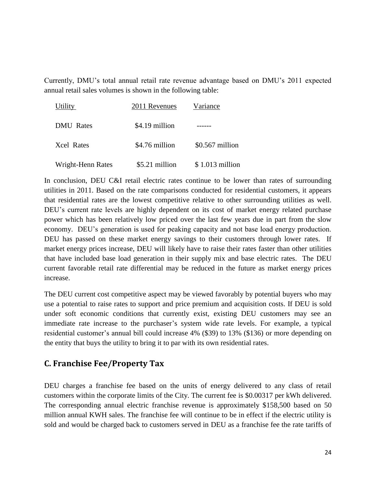Currently, DMU's total annual retail rate revenue advantage based on DMU's 2011 expected annual retail sales volumes is shown in the following table:

| Utility           | 2011 Revenues  | Variance         |  |
|-------------------|----------------|------------------|--|
| <b>DMU</b> Rates  | \$4.19 million |                  |  |
| <b>Xcel Rates</b> | \$4.76 million | $$0.567$ million |  |
| Wright-Henn Rates | \$5.21 million | $$1.013$ million |  |

In conclusion, DEU C&I retail electric rates continue to be lower than rates of surrounding utilities in 2011. Based on the rate comparisons conducted for residential customers, it appears that residential rates are the lowest competitive relative to other surrounding utilities as well. DEU's current rate levels are highly dependent on its cost of market energy related purchase power which has been relatively low priced over the last few years due in part from the slow economy. DEU's generation is used for peaking capacity and not base load energy production. DEU has passed on these market energy savings to their customers through lower rates. If market energy prices increase, DEU will likely have to raise their rates faster than other utilities that have included base load generation in their supply mix and base electric rates. The DEU current favorable retail rate differential may be reduced in the future as market energy prices increase.

The DEU current cost competitive aspect may be viewed favorably by potential buyers who may use a potential to raise rates to support and price premium and acquisition costs. If DEU is sold under soft economic conditions that currently exist, existing DEU customers may see an immediate rate increase to the purchaser's system wide rate levels. For example, a typical residential customer's annual bill could increase 4% (\$39) to 13% (\$136) or more depending on the entity that buys the utility to bring it to par with its own residential rates.

### **C. Franchise Fee/Property Tax**

DEU charges a franchise fee based on the units of energy delivered to any class of retail customers within the corporate limits of the City. The current fee is \$0.00317 per kWh delivered. The corresponding annual electric franchise revenue is approximately \$158,500 based on 50 million annual KWH sales. The franchise fee will continue to be in effect if the electric utility is sold and would be charged back to customers served in DEU as a franchise fee the rate tariffs of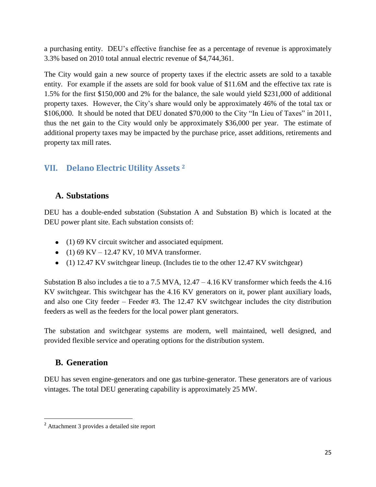a purchasing entity. DEU's effective franchise fee as a percentage of revenue is approximately 3.3% based on 2010 total annual electric revenue of \$4,744,361.

The City would gain a new source of property taxes if the electric assets are sold to a taxable entity. For example if the assets are sold for book value of \$11.6M and the effective tax rate is 1.5% for the first \$150,000 and 2% for the balance, the sale would yield \$231,000 of additional property taxes. However, the City's share would only be approximately 46% of the total tax or \$106,000. It should be noted that DEU donated \$70,000 to the City "In Lieu of Taxes" in 2011, thus the net gain to the City would only be approximately \$36,000 per year. The estimate of additional property taxes may be impacted by the purchase price, asset additions, retirements and property tax mill rates.

## **VII. Delano Electric Utility Assets <sup>2</sup>**

### **A. Substations**

DEU has a double-ended substation (Substation A and Substation B) which is located at the DEU power plant site. Each substation consists of:

- (1) 69 KV circuit switcher and associated equipment.
- (1) 69 KV 12.47 KV, 10 MVA transformer.
- (1) 12.47 KV switchgear lineup. (Includes tie to the other 12.47 KV switchgear)

Substation B also includes a tie to a 7.5 MVA, 12.47 – 4.16 KV transformer which feeds the 4.16 KV switchgear. This switchgear has the 4.16 KV generators on it, power plant auxiliary loads, and also one City feeder – Feeder #3. The 12.47 KV switchgear includes the city distribution feeders as well as the feeders for the local power plant generators.

The substation and switchgear systems are modern, well maintained, well designed, and provided flexible service and operating options for the distribution system.

## **B. Generation**

l

DEU has seven engine-generators and one gas turbine-generator. These generators are of various vintages. The total DEU generating capability is approximately 25 MW.

<sup>2</sup> Attachment 3 provides a detailed site report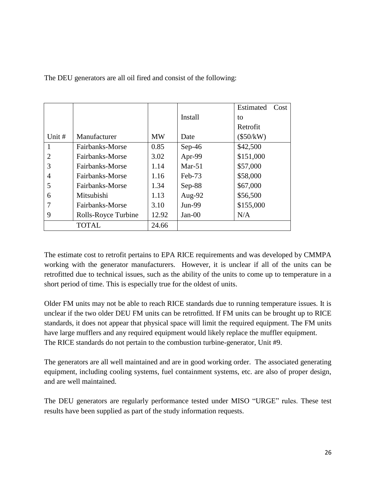|                |                     |           |           | Estimated<br>Cost |
|----------------|---------------------|-----------|-----------|-------------------|
|                |                     |           | Install   | to                |
|                |                     |           |           | Retrofit          |
| Unit #         | Manufacturer        | <b>MW</b> | Date      | $(\$50/kW)$       |
| 1              | Fairbanks-Morse     | 0.85      | $Sep-46$  | \$42,500          |
| $\overline{2}$ | Fairbanks-Morse     | 3.02      | Apr-99    | \$151,000         |
| 3              | Fairbanks-Morse     | 1.14      | Mar- $51$ | \$57,000          |
| 4              | Fairbanks-Morse     | 1.16      | $Feb-73$  | \$58,000          |
| 5              | Fairbanks-Morse     | 1.34      | $Sep-88$  | \$67,000          |
| 6              | Mitsubishi          | 1.13      | Aug-92    | \$56,500          |
|                | Fairbanks-Morse     | 3.10      | Jun-99    | \$155,000         |
| 9              | Rolls-Royce Turbine | 12.92     | $Jan-00$  | N/A               |
|                | <b>TOTAL</b>        | 24.66     |           |                   |

The DEU generators are all oil fired and consist of the following:

The estimate cost to retrofit pertains to EPA RICE requirements and was developed by CMMPA working with the generator manufacturers. However, it is unclear if all of the units can be retrofitted due to technical issues, such as the ability of the units to come up to temperature in a short period of time. This is especially true for the oldest of units.

Older FM units may not be able to reach RICE standards due to running temperature issues. It is unclear if the two older DEU FM units can be retrofitted. If FM units can be brought up to RICE standards, it does not appear that physical space will limit the required equipment. The FM units have large mufflers and any required equipment would likely replace the muffler equipment. The RICE standards do not pertain to the combustion turbine-generator, Unit #9.

The generators are all well maintained and are in good working order. The associated generating equipment, including cooling systems, fuel containment systems, etc. are also of proper design, and are well maintained.

The DEU generators are regularly performance tested under MISO "URGE" rules. These test results have been supplied as part of the study information requests.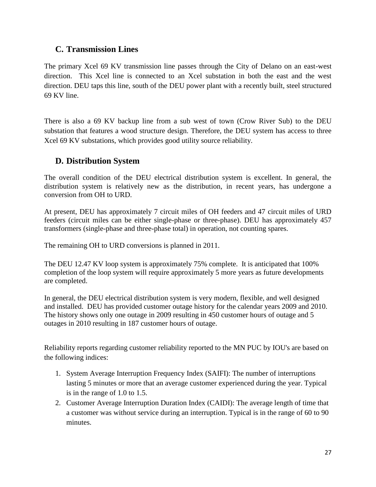#### **C. Transmission Lines**

The primary Xcel 69 KV transmission line passes through the City of Delano on an east-west direction. This Xcel line is connected to an Xcel substation in both the east and the west direction. DEU taps this line, south of the DEU power plant with a recently built, steel structured 69 KV line.

There is also a 69 KV backup line from a sub west of town (Crow River Sub) to the DEU substation that features a wood structure design. Therefore, the DEU system has access to three Xcel 69 KV substations, which provides good utility source reliability.

### **D. Distribution System**

The overall condition of the DEU electrical distribution system is excellent. In general, the distribution system is relatively new as the distribution, in recent years, has undergone a conversion from OH to URD.

At present, DEU has approximately 7 circuit miles of OH feeders and 47 circuit miles of URD feeders (circuit miles can be either single-phase or three-phase). DEU has approximately 457 transformers (single-phase and three-phase total) in operation, not counting spares.

The remaining OH to URD conversions is planned in 2011.

The DEU 12.47 KV loop system is approximately 75% complete. It is anticipated that 100% completion of the loop system will require approximately 5 more years as future developments are completed.

In general, the DEU electrical distribution system is very modern, flexible, and well designed and installed. DEU has provided customer outage history for the calendar years 2009 and 2010. The history shows only one outage in 2009 resulting in 450 customer hours of outage and 5 outages in 2010 resulting in 187 customer hours of outage.

Reliability reports regarding customer reliability reported to the MN PUC by IOU's are based on the following indices:

- 1. System Average Interruption Frequency Index (SAIFI): The number of interruptions lasting 5 minutes or more that an average customer experienced during the year. Typical is in the range of 1.0 to 1.5.
- 2. Customer Average Interruption Duration Index (CAIDI): The average length of time that a customer was without service during an interruption. Typical is in the range of 60 to 90 minutes.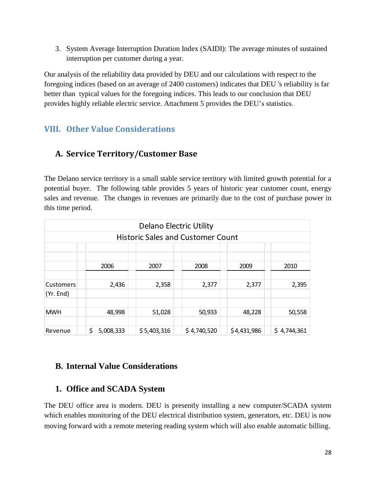3. System Average Interruption Duration Index (SAIDI): The average minutes of sustained interruption per customer during a year.

Our analysis of the reliability data provided by DEU and our calculations with respect to the foregoing indices (based on an average of 2400 customers) indicates that DEU 's reliability is far better than typical values for the foregoing indices. This leads to our conclusion that DEU provides highly reliable electric service. Attachment 5 provides the DEU's statistics.

## **VIII. Other Value Considerations**

## **A. Service Territory/Customer Base**

The Delano service territory is a small stable service territory with limited growth potential for a potential buyer. The following table provides 5 years of historic year customer count, energy sales and revenue. The changes in revenues are primarily due to the cost of purchase power in this time period.

|                                          |                 |             | <b>Delano Electric Utility</b> |             |             |
|------------------------------------------|-----------------|-------------|--------------------------------|-------------|-------------|
| <b>Historic Sales and Customer Count</b> |                 |             |                                |             |             |
|                                          |                 |             |                                |             |             |
|                                          | 2006            | 2007        | 2008                           | 2009        | 2010        |
|                                          |                 |             |                                |             |             |
| <b>Customers</b>                         | 2,436           | 2,358       | 2,377                          | 2,377       | 2,395       |
| (Yr. End)                                |                 |             |                                |             |             |
|                                          |                 |             |                                |             |             |
| <b>MWH</b>                               | 48,998          | 51,028      | 50,933                         | 48,228      | 50,558      |
|                                          |                 |             |                                |             |             |
| Revenue                                  | \$<br>5,008,333 | \$5,403,316 | \$4,740,520                    | \$4,431,986 | \$4,744,361 |

## **B. Internal Value Considerations**

### **1. Office and SCADA System**

The DEU office area is modern. DEU is presently installing a new computer/SCADA system which enables monitoring of the DEU electrical distribution system, generators, etc. DEU is now moving forward with a remote metering reading system which will also enable automatic billing.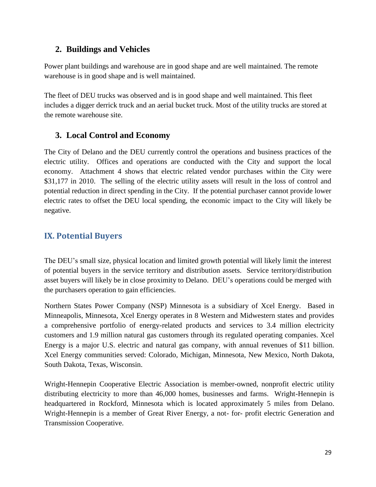### **2. Buildings and Vehicles**

Power plant buildings and warehouse are in good shape and are well maintained. The remote warehouse is in good shape and is well maintained.

The fleet of DEU trucks was observed and is in good shape and well maintained. This fleet includes a digger derrick truck and an aerial bucket truck. Most of the utility trucks are stored at the remote warehouse site.

## **3. Local Control and Economy**

The City of Delano and the DEU currently control the operations and business practices of the electric utility. Offices and operations are conducted with the City and support the local economy. Attachment 4 shows that electric related vendor purchases within the City were \$31,177 in 2010. The selling of the electric utility assets will result in the loss of control and potential reduction in direct spending in the City. If the potential purchaser cannot provide lower electric rates to offset the DEU local spending, the economic impact to the City will likely be negative.

## **IX. Potential Buyers**

The DEU's small size, physical location and limited growth potential will likely limit the interest of potential buyers in the service territory and distribution assets. Service territory/distribution asset buyers will likely be in close proximity to Delano. DEU's operations could be merged with the purchasers operation to gain efficiencies.

Northern States Power Company (NSP) Minnesota is a subsidiary of Xcel Energy. Based in Minneapolis, Minnesota, Xcel Energy operates in 8 Western and Midwestern states and provides a comprehensive portfolio of energy-related products and services to 3.4 million electricity customers and 1.9 million natural gas customers through its regulated operating companies. Xcel Energy is a major U.S. electric and natural gas company, with annual revenues of \$11 billion. Xcel Energy communities served: [Colorado,](http://www.xcelenergy.com/SiteCollectionDocuments/docs/5.26.2010FINALCO-CommunityServed.pdf) [Michigan,](http://www.xcelenergy.com/SiteCollectionDocuments/docs/WiscMichCommunities.pdf) [Minnesota,](http://www.xcelenergy.com/SiteCollectionDocuments/docs/10-05-428_NSPM-CommunityServed.pdf) [New Mexico,](http://www.xcelenergy.com/SiteCollectionDocuments/docs/10-05-419_SPS-CommunityServed5bd.pdf) [North Dakota,](http://www.xcelenergy.com/SiteCollectionDocuments/docs/10-05-421_ND-CommunityServed.pdf) [South Dakota,](http://www.xcelenergy.com/SiteCollectionDocuments/docs/10-05-422_SD-CommunityServed.pdf) [Texas,](http://www.xcelenergy.com/SiteCollectionDocuments/docs/10-12-203_SPS-CommunityServed.pdf) [Wisconsin.](http://www.xcelenergy.com/SiteCollectionDocuments/docs/Communities.pdf)

Wright-Hennepin Cooperative Electric Association is member-owned, nonprofit electric utility distributing electricity to more than 46,000 homes, businesses and farms. Wright-Hennepin is headquartered in Rockford, Minnesota which is located approximately 5 miles from Delano. Wright-Hennepin is a member of Great River Energy, a not- for- profit electric Generation and Transmission Cooperative.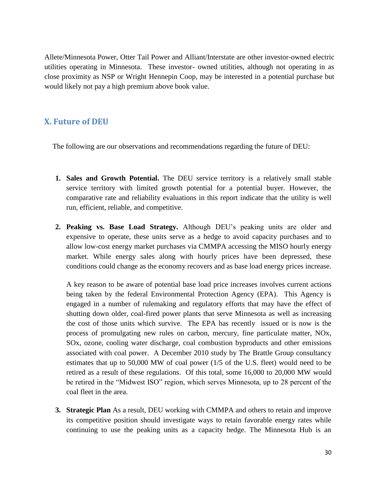Allete/Minnesota Power, Otter Tail Power and Alliant/Interstate are other investor-owned electric utilities operating in Minnesota. These investor- owned utilities, although not operating in as close proximity as NSP or Wright Hennepin Coop, may be interested in a potential purchase but would likely not pay a high premium above book value.

### **X. Future of DEU**

The following are our observations and recommendations regarding the future of DEU:

- **1. Sales and Growth Potential.** The DEU service territory is a relatively small stable service territory with limited growth potential for a potential buyer. However, the comparative rate and reliability evaluations in this report indicate that the utility is well run, efficient, reliable, and competitive.
- **2. Peaking vs. Base Load Strategy.** Although DEU's peaking units are older and expensive to operate, these units serve as a hedge to avoid capacity purchases and to allow low-cost energy market purchases via CMMPA accessing the MISO hourly energy market. While energy sales along with hourly prices have been depressed, these conditions could change as the economy recovers and as base load energy prices increase.

A key reason to be aware of potential base load price increases involves current actions being taken by the federal Environmental Protection Agency (EPA). This Agency is engaged in a number of rulemaking and regulatory efforts that may have the effect of shutting down older, coal-fired power plants that serve Minnesota as well as increasing the cost of those units which survive. The EPA has recently issued or is now is the process of promulgating new rules on carbon, mercury, fine particulate matter, NOx, SOx, ozone, cooling water discharge, coal combustion byproducts and other emissions associated with coal power. A December 2010 study by The Brattle Group consultancy estimates that up to 50,000 MW of coal power (1/5 of the U.S. fleet) would need to be retired as a result of these regulations. Of this total, some 16,000 to 20,000 MW would be retired in the "Midwest ISO" region, which serves Minnesota, up to 28 percent of the coal fleet in the area.

**3. Strategic Plan** As a result, DEU working with CMMPA and others to retain and improve its competitive position should investigate ways to retain favorable energy rates while continuing to use the peaking units as a capacity hedge. The Minnesota Hub is an